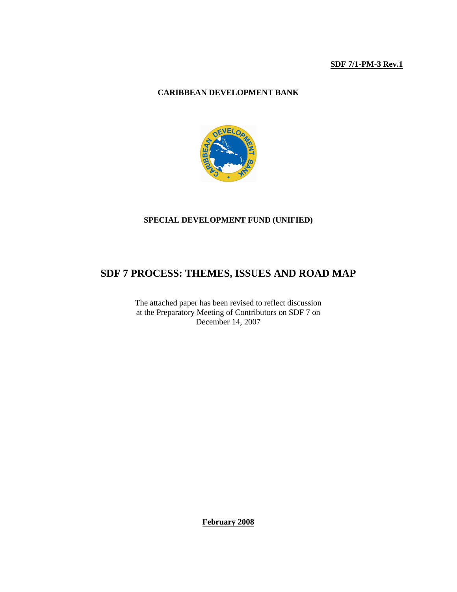### **SDF 7/1-PM-3 Rev.1**

# **CARIBBEAN DEVELOPMENT BANK**



### **SPECIAL DEVELOPMENT FUND (UNIFIED)**

# **SDF 7 PROCESS: THEMES, ISSUES AND ROAD MAP**

The attached paper has been revised to reflect discussion at the Preparatory Meeting of Contributors on SDF 7 on December 14, 2007

**February 2008**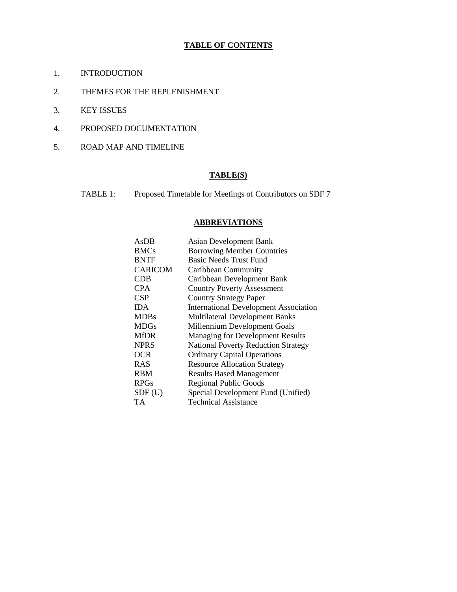## **TABLE OF CONTENTS**

- 1. INTRODUCTION
- 2. THEMES FOR THE REPLENISHMENT
- 3. KEY ISSUES
- 4. PROPOSED DOCUMENTATION
- 5. ROAD MAP AND TIMELINE

# **TABLE(S)**

TABLE 1: Proposed Timetable for Meetings of Contributors on SDF 7

# **ABBREVIATIONS**

| AsDB           | <b>Asian Development Bank</b>                |
|----------------|----------------------------------------------|
| <b>BMCs</b>    | <b>Borrowing Member Countries</b>            |
| <b>BNTF</b>    | <b>Basic Needs Trust Fund</b>                |
| <b>CARICOM</b> | Caribbean Community                          |
| CDB            | Caribbean Development Bank                   |
| <b>CPA</b>     | <b>Country Poverty Assessment</b>            |
| <b>CSP</b>     | <b>Country Strategy Paper</b>                |
| <b>IDA</b>     | <b>International Development Association</b> |
| <b>MDBs</b>    | Multilateral Development Banks               |
| <b>MDGs</b>    | Millennium Development Goals                 |
| <b>MfDR</b>    | <b>Managing for Development Results</b>      |
| <b>NPRS</b>    | <b>National Poverty Reduction Strategy</b>   |
| <b>OCR</b>     | <b>Ordinary Capital Operations</b>           |
| <b>RAS</b>     | <b>Resource Allocation Strategy</b>          |
| <b>RBM</b>     | <b>Results Based Management</b>              |
| <b>RPGs</b>    | <b>Regional Public Goods</b>                 |
| SDF(U)         | Special Development Fund (Unified)           |
| TA             | <b>Technical Assistance</b>                  |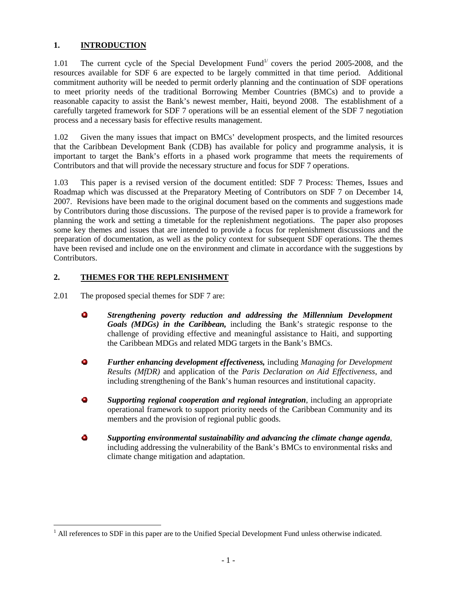# **1. INTRODUCTION**

1.01 The current cycle of the Special Development Fund<sup> $1/1$ </sup> covers the period 2005-2008, and the resources available for SDF 6 are expected to be largely committed in that time period. Additional commitment authority will be needed to permit orderly planning and the continuation of SDF operations to meet priority needs of the traditional Borrowing Member Countries (BMCs) and to provide a reasonable capacity to assist the Bank's newest member, Haiti, beyond 2008. The establishment of a carefully targeted framework for SDF 7 operations will be an essential element of the SDF 7 negotiation process and a necessary basis for effective results management.

1.02 Given the many issues that impact on BMCs' development prospects, and the limited resources that the Caribbean Development Bank (CDB) has available for policy and programme analysis, it is important to target the Bank's efforts in a phased work programme that meets the requirements of Contributors and that will provide the necessary structure and focus for SDF 7 operations.

1.03 This paper is a revised version of the document entitled: SDF 7 Process: Themes, Issues and Roadmap which was discussed at the Preparatory Meeting of Contributors on SDF 7 on December 14, 2007. Revisions have been made to the original document based on the comments and suggestions made by Contributors during those discussions. The purpose of the revised paper is to provide a framework for planning the work and setting a timetable for the replenishment negotiations. The paper also proposes some key themes and issues that are intended to provide a focus for replenishment discussions and the preparation of documentation, as well as the policy context for subsequent SDF operations. The themes have been revised and include one on the environment and climate in accordance with the suggestions by Contributors.

# **2. THEMES FOR THE REPLENISHMENT**

2.01 The proposed special themes for SDF 7 are:

<u>.</u>

- $\mathbf{u}$ *Strengthening poverty reduction and addressing the Millennium Development Goals (MDGs) in the Caribbean,* including the Bank's strategic response to the challenge of providing effective and meaningful assistance to Haiti, and supporting the Caribbean MDGs and related MDG targets in the Bank's BMCs.
- $\bullet$ *Further enhancing development effectiveness,* including *Managing for Development Results (MfDR)* and application of the *Paris Declaration on Aid Effectiveness*, and including strengthening of the Bank's human resources and institutional capacity.
- $\bullet$ *Supporting regional cooperation and regional integration*, including an appropriate operational framework to support priority needs of the Caribbean Community and its members and the provision of regional public goods.
- $\mathbf{r}$ *Supporting environmental sustainability and advancing the climate change agenda*, including addressing the vulnerability of the Bank's BMCs to environmental risks and climate change mitigation and adaptation.

<sup>&</sup>lt;sup>1</sup> All references to SDF in this paper are to the Unified Special Development Fund unless otherwise indicated.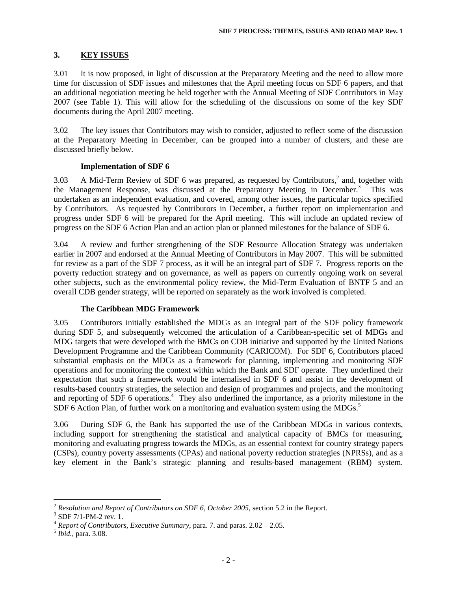### **3. KEY ISSUES**

3.01 It is now proposed, in light of discussion at the Preparatory Meeting and the need to allow more time for discussion of SDF issues and milestones that the April meeting focus on SDF 6 papers, and that an additional negotiation meeting be held together with the Annual Meeting of SDF Contributors in May 2007 (see Table 1). This will allow for the scheduling of the discussions on some of the key SDF documents during the April 2007 meeting.

3.02 The key issues that Contributors may wish to consider, adjusted to reflect some of the discussion at the Preparatory Meeting in December, can be grouped into a number of clusters, and these are discussed briefly below.

#### **Implementation of SDF 6**

3.03 A Mid-Term Review of SDF 6 was prepared, as requested by Contributors, $2$  and, together with the Management Response, was discussed at the Preparatory Meeting in December.<sup>3</sup> This was undertaken as an independent evaluation, and covered, among other issues, the particular topics specified by Contributors. As requested by Contributors in December, a further report on implementation and progress under SDF 6 will be prepared for the April meeting. This will include an updated review of progress on the SDF 6 Action Plan and an action plan or planned milestones for the balance of SDF 6.

3.04 A review and further strengthening of the SDF Resource Allocation Strategy was undertaken earlier in 2007 and endorsed at the Annual Meeting of Contributors in May 2007. This will be submitted for review as a part of the SDF 7 process, as it will be an integral part of SDF 7. Progress reports on the poverty reduction strategy and on governance, as well as papers on currently ongoing work on several other subjects, such as the environmental policy review, the Mid-Term Evaluation of BNTF 5 and an overall CDB gender strategy, will be reported on separately as the work involved is completed.

#### **The Caribbean MDG Framework**

3.05 Contributors initially established the MDGs as an integral part of the SDF policy framework during SDF 5, and subsequently welcomed the articulation of a Caribbean-specific set of MDGs and MDG targets that were developed with the BMCs on CDB initiative and supported by the United Nations Development Programme and the Caribbean Community (CARICOM). For SDF 6, Contributors placed substantial emphasis on the MDGs as a framework for planning, implementing and monitoring SDF operations and for monitoring the context within which the Bank and SDF operate. They underlined their expectation that such a framework would be internalised in SDF 6 and assist in the development of results-based country strategies, the selection and design of programmes and projects, and the monitoring and reporting of SDF 6 operations.<sup>4</sup> They also underlined the importance, as a priority milestone in the SDF 6 Action Plan, of further work on a monitoring and evaluation system using the MDGs.<sup>5</sup>

3.06 During SDF 6, the Bank has supported the use of the Caribbean MDGs in various contexts, including support for strengthening the statistical and analytical capacity of BMCs for measuring, monitoring and evaluating progress towards the MDGs, as an essential context for country strategy papers (CSPs), country poverty assessments (CPAs) and national poverty reduction strategies (NPRSs), and as a key element in the Bank's strategic planning and results-based management (RBM) system.

<u>.</u>

<sup>2</sup> *Resolution and Report of Contributors on SDF 6, October 2005*, section 5.2 in the Report.

<sup>&</sup>lt;sup>3</sup> SDF 7/1-PM-2 rev. 1.

<sup>4</sup> *Report of Contributors, Executive Summary*, para. 7. and paras. 2.02 – 2.05.

<sup>5</sup> *Ibid.*, para. 3.08.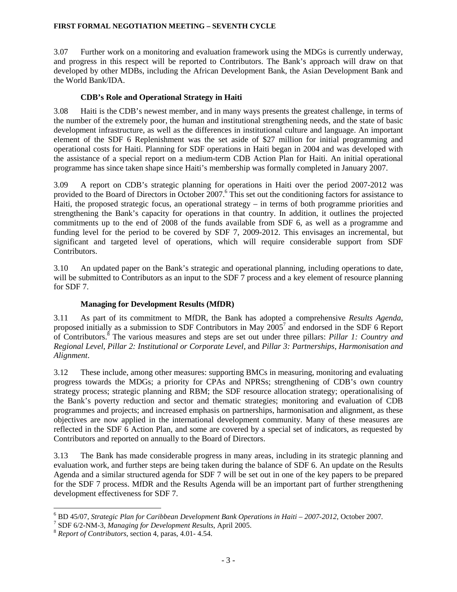#### **FIRST FORMAL NEGOTIATION MEETING – SEVENTH CYCLE**

3.07 Further work on a monitoring and evaluation framework using the MDGs is currently underway, and progress in this respect will be reported to Contributors. The Bank's approach will draw on that developed by other MDBs, including the African Development Bank, the Asian Development Bank and the World Bank/IDA.

### **CDB's Role and Operational Strategy in Haiti**

3.08 Haiti is the CDB's newest member, and in many ways presents the greatest challenge, in terms of the number of the extremely poor, the human and institutional strengthening needs, and the state of basic development infrastructure, as well as the differences in institutional culture and language. An important element of the SDF 6 Replenishment was the set aside of \$27 million for initial programming and operational costs for Haiti. Planning for SDF operations in Haiti began in 2004 and was developed with the assistance of a special report on a medium-term CDB Action Plan for Haiti. An initial operational programme has since taken shape since Haiti's membership was formally completed in January 2007.

3.09 A report on CDB's strategic planning for operations in Haiti over the period 2007-2012 was provided to the Board of Directors in October 2007.<sup>6</sup> This set out the conditioning factors for assistance to Haiti, the proposed strategic focus, an operational strategy – in terms of both programme priorities and strengthening the Bank's capacity for operations in that country. In addition, it outlines the projected commitments up to the end of 2008 of the funds available from SDF 6, as well as a programme and funding level for the period to be covered by SDF 7, 2009-2012. This envisages an incremental, but significant and targeted level of operations, which will require considerable support from SDF Contributors.

3.10 An updated paper on the Bank's strategic and operational planning, including operations to date, will be submitted to Contributors as an input to the SDF 7 process and a key element of resource planning for SDF 7.

# **Managing for Development Results (MfDR)**

3.11 As part of its commitment to MfDR, the Bank has adopted a comprehensive *Results Agenda*, proposed initially as a submission to SDF Contributors in May  $2005^7$  and endorsed in the SDF 6 Report of Contributors.<sup>8</sup> The various measures and steps are set out under three pillars: *Pillar 1: Country and Regional Level*, *Pillar 2: Institutional or Corporate Level*, and *Pillar 3: Partnerships, Harmonisation and Alignment*.

3.12 These include, among other measures: supporting BMCs in measuring, monitoring and evaluating progress towards the MDGs; a priority for CPAs and NPRSs; strengthening of CDB's own country strategy process; strategic planning and RBM; the SDF resource allocation strategy; operationalising of the Bank's poverty reduction and sector and thematic strategies; monitoring and evaluation of CDB programmes and projects; and increased emphasis on partnerships, harmonisation and alignment, as these objectives are now applied in the international development community. Many of these measures are reflected in the SDF 6 Action Plan, and some are covered by a special set of indicators, as requested by Contributors and reported on annually to the Board of Directors.

3.13 The Bank has made considerable progress in many areas, including in its strategic planning and evaluation work, and further steps are being taken during the balance of SDF 6. An update on the Results Agenda and a similar structured agenda for SDF 7 will be set out in one of the key papers to be prepared for the SDF 7 process. MfDR and the Results Agenda will be an important part of further strengthening development effectiveness for SDF 7.

 6 BD 45/07, *Strategic Plan for Caribbean Development Bank Operations in Haiti – 2007-2012*, October 2007*.* 

<sup>7</sup> SDF 6/2-NM-3, *Managing for Development Results*, April 2005.

<sup>8</sup> *Report of Contributors*, section 4, paras, 4.01- 4.54.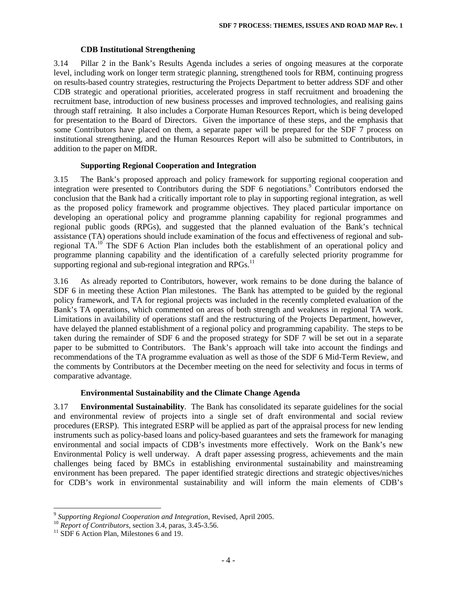#### **CDB Institutional Strengthening**

3.14 Pillar 2 in the Bank's Results Agenda includes a series of ongoing measures at the corporate level, including work on longer term strategic planning, strengthened tools for RBM, continuing progress on results-based country strategies, restructuring the Projects Department to better address SDF and other CDB strategic and operational priorities, accelerated progress in staff recruitment and broadening the recruitment base, introduction of new business processes and improved technologies, and realising gains through staff retraining. It also includes a Corporate Human Resources Report, which is being developed for presentation to the Board of Directors. Given the importance of these steps, and the emphasis that some Contributors have placed on them, a separate paper will be prepared for the SDF 7 process on institutional strengthening, and the Human Resources Report will also be submitted to Contributors, in addition to the paper on MfDR.

#### **Supporting Regional Cooperation and Integration**

3.15 The Bank's proposed approach and policy framework for supporting regional cooperation and integration were presented to Contributors during the SDF 6 negotiations.<sup>9</sup> Contributors endorsed the conclusion that the Bank had a critically important role to play in supporting regional integration, as well as the proposed policy framework and programme objectives. They placed particular importance on developing an operational policy and programme planning capability for regional programmes and regional public goods (RPGs), and suggested that the planned evaluation of the Bank's technical assistance (TA) operations should include examination of the focus and effectiveness of regional and subregional TA.<sup>10</sup> The SDF 6 Action Plan includes both the establishment of an operational policy and programme planning capability and the identification of a carefully selected priority programme for supporting regional and sub-regional integration and RPGs. $^{11}$ 

3.16 As already reported to Contributors, however, work remains to be done during the balance of SDF 6 in meeting these Action Plan milestones. The Bank has attempted to be guided by the regional policy framework, and TA for regional projects was included in the recently completed evaluation of the Bank's TA operations, which commented on areas of both strength and weakness in regional TA work. Limitations in availability of operations staff and the restructuring of the Projects Department, however, have delayed the planned establishment of a regional policy and programming capability. The steps to be taken during the remainder of SDF 6 and the proposed strategy for SDF 7 will be set out in a separate paper to be submitted to Contributors. The Bank's approach will take into account the findings and recommendations of the TA programme evaluation as well as those of the SDF 6 Mid-Term Review, and the comments by Contributors at the December meeting on the need for selectivity and focus in terms of comparative advantage.

#### **Environmental Sustainability and the Climate Change Agenda**

3.17 **Environmental Sustainability**. The Bank has consolidated its separate guidelines for the social and environmental review of projects into a single set of draft environmental and social review procedures (ERSP). This integrated ESRP will be applied as part of the appraisal process for new lending instruments such as policy-based loans and policy-based guarantees and sets the framework for managing environmental and social impacts of CDB's investments more effectively. Work on the Bank's new Environmental Policy is well underway. A draft paper assessing progress, achievements and the main challenges being faced by BMCs in establishing environmental sustainability and mainstreaming environment has been prepared. The paper identified strategic directions and strategic objectives/niches for CDB's work in environmental sustainability and will inform the main elements of CDB's

 9 *Supporting Regional Cooperation and Integration*, Revised, April 2005.

<sup>&</sup>lt;sup>10</sup> *Report of Contributors*, section 3.4, paras, 3.45-3.56.

<sup>&</sup>lt;sup>11</sup> SDF 6 Action Plan, Milestones 6 and 19.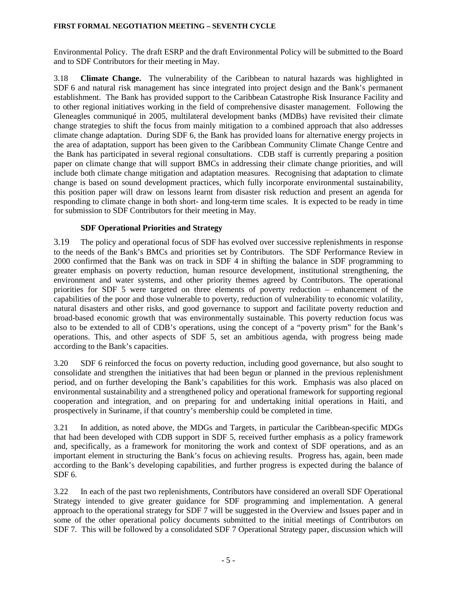#### **FIRST FORMAL NEGOTIATION MEETING – SEVENTH CYCLE**

Environmental Policy. The draft ESRP and the draft Environmental Policy will be submitted to the Board and to SDF Contributors for their meeting in May.

3.18 **Climate Change.** The vulnerability of the Caribbean to natural hazards was highlighted in SDF 6 and natural risk management has since integrated into project design and the Bank's permanent establishment. The Bank has provided support to the Caribbean Catastrophe Risk Insurance Facility and to other regional initiatives working in the field of comprehensive disaster management. Following the Gleneagles communiqué in 2005, multilateral development banks (MDBs) have revisited their climate change strategies to shift the focus from mainly mitigation to a combined approach that also addresses climate change adaptation. During SDF 6, the Bank has provided loans for alternative energy projects in the area of adaptation, support has been given to the Caribbean Community Climate Change Centre and the Bank has participated in several regional consultations. CDB staff is currently preparing a position paper on climate change that will support BMCs in addressing their climate change priorities, and will include both climate change mitigation and adaptation measures. Recognising that adaptation to climate change is based on sound development practices, which fully incorporate environmental sustainability, this position paper will draw on lessons learnt from disaster risk reduction and present an agenda for responding to climate change in both short- and long-term time scales. It is expected to be ready in time for submission to SDF Contributors for their meeting in May.

#### **SDF Operational Priorities and Strategy**

3.19 The policy and operational focus of SDF has evolved over successive replenishments in response to the needs of the Bank's BMCs and priorities set by Contributors. The SDF Performance Review in 2000 confirmed that the Bank was on track in SDF 4 in shifting the balance in SDF programming to greater emphasis on poverty reduction, human resource development, institutional strengthening, the environment and water systems, and other priority themes agreed by Contributors. The operational priorities for SDF 5 were targeted on three elements of poverty reduction – enhancement of the capabilities of the poor and those vulnerable to poverty, reduction of vulnerability to economic volatility, natural disasters and other risks, and good governance to support and facilitate poverty reduction and broad-based economic growth that was environmentally sustainable. This poverty reduction focus was also to be extended to all of CDB's operations, using the concept of a "poverty prism" for the Bank's operations. This, and other aspects of SDF 5, set an ambitious agenda, with progress being made according to the Bank's capacities.

3.20 SDF 6 reinforced the focus on poverty reduction, including good governance, but also sought to consolidate and strengthen the initiatives that had been begun or planned in the previous replenishment period, and on further developing the Bank's capabilities for this work. Emphasis was also placed on environmental sustainability and a strengthened policy and operational framework for supporting regional cooperation and integration, and on preparing for and undertaking initial operations in Haiti, and prospectively in Suriname, if that country's membership could be completed in time.

3.21 In addition, as noted above, the MDGs and Targets, in particular the Caribbean-specific MDGs that had been developed with CDB support in SDF 5, received further emphasis as a policy framework and, specifically, as a framework for monitoring the work and context of SDF operations, and as an important element in structuring the Bank's focus on achieving results. Progress has, again, been made according to the Bank's developing capabilities, and further progress is expected during the balance of SDF 6.

3.22 In each of the past two replenishments, Contributors have considered an overall SDF Operational Strategy intended to give greater guidance for SDF programming and implementation. A general approach to the operational strategy for SDF 7 will be suggested in the Overview and Issues paper and in some of the other operational policy documents submitted to the initial meetings of Contributors on SDF 7. This will be followed by a consolidated SDF 7 Operational Strategy paper, discussion which will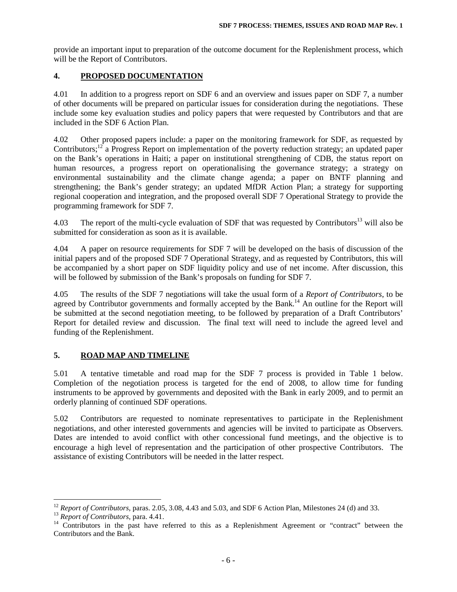provide an important input to preparation of the outcome document for the Replenishment process, which will be the Report of Contributors.

#### **4. PROPOSED DOCUMENTATION**

4.01 In addition to a progress report on SDF 6 and an overview and issues paper on SDF 7, a number of other documents will be prepared on particular issues for consideration during the negotiations. These include some key evaluation studies and policy papers that were requested by Contributors and that are included in the SDF 6 Action Plan.

4.02 Other proposed papers include: a paper on the monitoring framework for SDF, as requested by Contributors;<sup>12</sup> a Progress Report on implementation of the poverty reduction strategy; an updated paper on the Bank's operations in Haiti; a paper on institutional strengthening of CDB, the status report on human resources, a progress report on operationalising the governance strategy; a strategy on environmental sustainability and the climate change agenda; a paper on BNTF planning and strengthening; the Bank's gender strategy; an updated MfDR Action Plan; a strategy for supporting regional cooperation and integration, and the proposed overall SDF 7 Operational Strategy to provide the programming framework for SDF 7.

4.03 The report of the multi-cycle evaluation of SDF that was requested by Contributors<sup>13</sup> will also be submitted for consideration as soon as it is available.

4.04 A paper on resource requirements for SDF 7 will be developed on the basis of discussion of the initial papers and of the proposed SDF 7 Operational Strategy, and as requested by Contributors, this will be accompanied by a short paper on SDF liquidity policy and use of net income. After discussion, this will be followed by submission of the Bank's proposals on funding for SDF 7.

4.05 The results of the SDF 7 negotiations will take the usual form of a *Report of Contributors*, to be agreed by Contributor governments and formally accepted by the Bank.<sup>14</sup> An outline for the Report will be submitted at the second negotiation meeting, to be followed by preparation of a Draft Contributors' Report for detailed review and discussion. The final text will need to include the agreed level and funding of the Replenishment.

# **5. ROAD MAP AND TIMELINE**

5.01 A tentative timetable and road map for the SDF 7 process is provided in Table 1 below. Completion of the negotiation process is targeted for the end of 2008, to allow time for funding instruments to be approved by governments and deposited with the Bank in early 2009, and to permit an orderly planning of continued SDF operations.

5.02 Contributors are requested to nominate representatives to participate in the Replenishment negotiations, and other interested governments and agencies will be invited to participate as Observers. Dates are intended to avoid conflict with other concessional fund meetings, and the objective is to encourage a high level of representation and the participation of other prospective Contributors. The assistance of existing Contributors will be needed in the latter respect.

<u>.</u>

<sup>&</sup>lt;sup>12</sup> *Report of Contributors*, paras. 2.05, 3.08, 4.43 and 5.03, and SDF 6 Action Plan, Milestones 24 (d) and 33.

<sup>13</sup> *Report of Contributors*, para. 4.41.

<sup>&</sup>lt;sup>14</sup> Contributors in the past have referred to this as a Replenishment Agreement or "contract" between the Contributors and the Bank.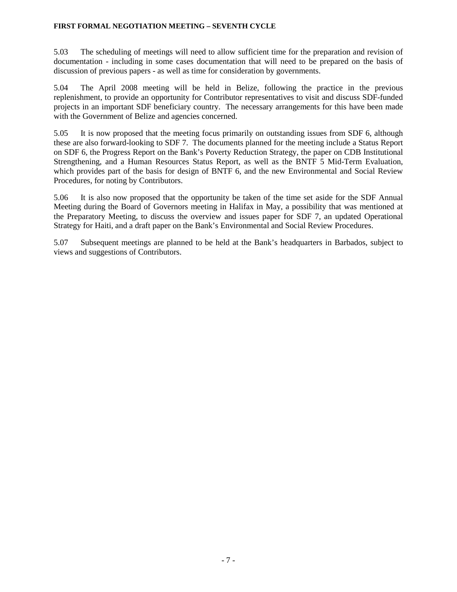#### **FIRST FORMAL NEGOTIATION MEETING – SEVENTH CYCLE**

5.03 The scheduling of meetings will need to allow sufficient time for the preparation and revision of documentation - including in some cases documentation that will need to be prepared on the basis of discussion of previous papers - as well as time for consideration by governments.

5.04 The April 2008 meeting will be held in Belize, following the practice in the previous replenishment, to provide an opportunity for Contributor representatives to visit and discuss SDF-funded projects in an important SDF beneficiary country. The necessary arrangements for this have been made with the Government of Belize and agencies concerned.

5.05 It is now proposed that the meeting focus primarily on outstanding issues from SDF 6, although these are also forward-looking to SDF 7. The documents planned for the meeting include a Status Report on SDF 6, the Progress Report on the Bank's Poverty Reduction Strategy, the paper on CDB Institutional Strengthening, and a Human Resources Status Report, as well as the BNTF 5 Mid-Term Evaluation, which provides part of the basis for design of BNTF 6, and the new Environmental and Social Review Procedures, for noting by Contributors.

5.06 It is also now proposed that the opportunity be taken of the time set aside for the SDF Annual Meeting during the Board of Governors meeting in Halifax in May, a possibility that was mentioned at the Preparatory Meeting, to discuss the overview and issues paper for SDF 7, an updated Operational Strategy for Haiti, and a draft paper on the Bank's Environmental and Social Review Procedures.

5.07 Subsequent meetings are planned to be held at the Bank's headquarters in Barbados, subject to views and suggestions of Contributors.